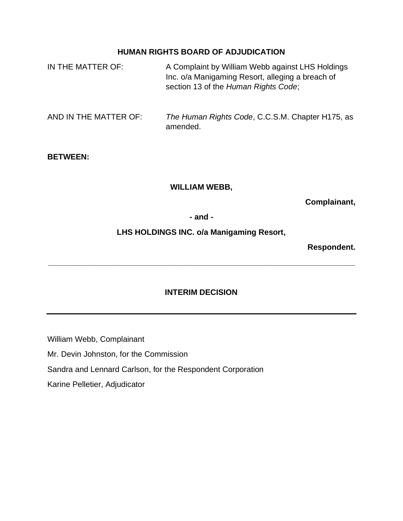## **HUMAN RIGHTS BOARD OF ADJUDICATION**

| IN THE MATTER OF:     | A Complaint by William Webb against LHS Holdings<br>Inc. o/a Manigaming Resort, alleging a breach of<br>section 13 of the Human Rights Code; |
|-----------------------|----------------------------------------------------------------------------------------------------------------------------------------------|
| AND IN THE MATTER OF: | The Human Rights Code, C.C.S.M. Chapter H175, as<br>amended.                                                                                 |
| <b>BETWEEN:</b>       |                                                                                                                                              |

## **WILLIAM WEBB,**

**Complainant,**

**- and -**

**LHS HOLDINGS INC. o/a Manigaming Resort,**

**Respondent.**

# **INTERIM DECISION**

**\_\_\_\_\_\_\_\_\_\_\_\_\_\_\_\_\_\_\_\_\_\_\_\_\_\_\_\_\_\_\_\_\_\_\_\_\_\_\_\_\_\_\_\_\_\_\_\_\_\_\_\_\_\_\_\_\_\_\_\_\_\_\_\_\_\_\_\_\_\_**

William Webb, Complainant Mr. Devin Johnston, for the Commission Sandra and Lennard Carlson, for the Respondent Corporation Karine Pelletier, Adjudicator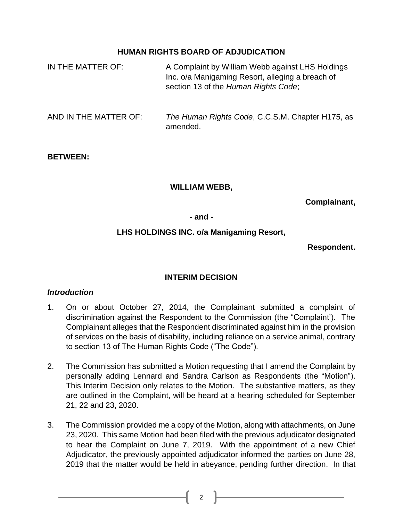## **HUMAN RIGHTS BOARD OF ADJUDICATION**

| IN THE MATTER OF:     | A Complaint by William Webb against LHS Holdings<br>Inc. o/a Manigaming Resort, alleging a breach of<br>section 13 of the Human Rights Code; |
|-----------------------|----------------------------------------------------------------------------------------------------------------------------------------------|
| AND IN THE MATTER OF: | The Human Rights Code, C.C.S.M. Chapter H175, as<br>amended.                                                                                 |

### **BETWEEN:**

### **WILLIAM WEBB,**

**Complainant,**

#### **- and -**

# **LHS HOLDINGS INC. o/a Manigaming Resort,**

### **Respondent.**

### **INTERIM DECISION**

### *Introduction*

- 1. On or about October 27, 2014, the Complainant submitted a complaint of discrimination against the Respondent to the Commission (the "Complaint'). The Complainant alleges that the Respondent discriminated against him in the provision of services on the basis of disability, including reliance on a service animal, contrary to section 13 of The Human Rights Code ("The Code").
- 2. The Commission has submitted a Motion requesting that I amend the Complaint by personally adding Lennard and Sandra Carlson as Respondents (the "Motion"). This Interim Decision only relates to the Motion. The substantive matters, as they are outlined in the Complaint, will be heard at a hearing scheduled for September 21, 22 and 23, 2020.
- 3. The Commission provided me a copy of the Motion, along with attachments, on June 23, 2020. This same Motion had been filed with the previous adjudicator designated to hear the Complaint on June 7, 2019. With the appointment of a new Chief Adjudicator, the previously appointed adjudicator informed the parties on June 28, 2019 that the matter would be held in abeyance, pending further direction. In that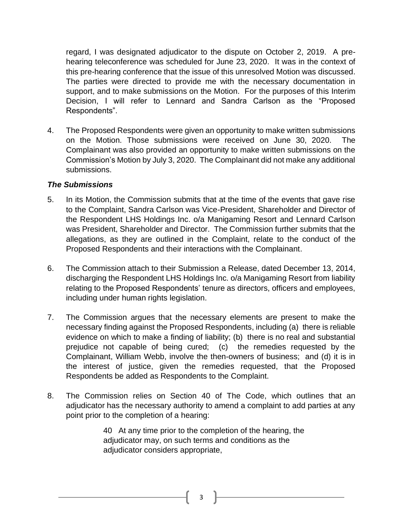regard, I was designated adjudicator to the dispute on October 2, 2019. A prehearing teleconference was scheduled for June 23, 2020. It was in the context of this pre-hearing conference that the issue of this unresolved Motion was discussed. The parties were directed to provide me with the necessary documentation in support, and to make submissions on the Motion. For the purposes of this Interim Decision, I will refer to Lennard and Sandra Carlson as the "Proposed Respondents".

4. The Proposed Respondents were given an opportunity to make written submissions on the Motion. Those submissions were received on June 30, 2020. The Complainant was also provided an opportunity to make written submissions on the Commission's Motion by July 3, 2020. The Complainant did not make any additional submissions.

### *The Submissions*

- 5. In its Motion, the Commission submits that at the time of the events that gave rise to the Complaint, Sandra Carlson was Vice-President, Shareholder and Director of the Respondent LHS Holdings Inc. o/a Manigaming Resort and Lennard Carlson was President, Shareholder and Director. The Commission further submits that the allegations, as they are outlined in the Complaint, relate to the conduct of the Proposed Respondents and their interactions with the Complainant.
- 6. The Commission attach to their Submission a Release, dated December 13, 2014, discharging the Respondent LHS Holdings Inc. o/a Manigaming Resort from liability relating to the Proposed Respondents' tenure as directors, officers and employees, including under human rights legislation.
- 7. The Commission argues that the necessary elements are present to make the necessary finding against the Proposed Respondents, including (a) there is reliable evidence on which to make a finding of liability; (b) there is no real and substantial prejudice not capable of being cured; (c) the remedies requested by the Complainant, William Webb, involve the then-owners of business; and (d) it is in the interest of justice, given the remedies requested, that the Proposed Respondents be added as Respondents to the Complaint.
- 8. The Commission relies on Section 40 of The Code, which outlines that an adjudicator has the necessary authority to amend a complaint to add parties at any point prior to the completion of a hearing:

40 At any time prior to the completion of the hearing, the adjudicator may, on such terms and conditions as the adjudicator considers appropriate,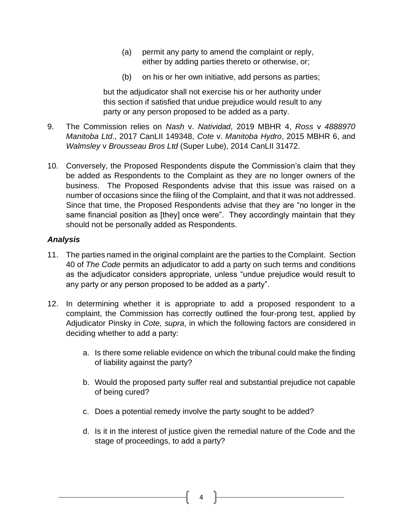- (a) permit any party to amend the complaint or reply, either by adding parties thereto or otherwise, or;
- (b) on his or her own initiative, add persons as parties;

but the adjudicator shall not exercise his or her authority under this section if satisfied that undue prejudice would result to any party or any person proposed to be added as a party.

- 9. The Commission relies on *Nash* v. *Natividad*, 2019 MBHR 4, *Ross* v *[4888970](https://www.canlii.org/en/mb/mbhrc/doc/2017/2017canlii149348/2017canlii149348.html?searchUrlHash=AAAAAQAKcm9zcyBibGFoeQAAAAAB&resultIndex=1) [Manitoba](https://www.canlii.org/en/mb/mbhrc/doc/2017/2017canlii149348/2017canlii149348.html?searchUrlHash=AAAAAQAKcm9zcyBibGFoeQAAAAAB&resultIndex=1) Ltd*., 2017 CanLII 149348, *Cote* v. *[Manitoba](https://www.canlii.org/en/mb/mbhrc/doc/2015/2015mbhr6/2015mbhr6.html?searchUrlHash=AAAAAQAKY290ZSBoeWRybwAAAAAB&resultIndex=1) Hydro*, 2015 MBHR 6, and *Walmsley* v *Brousseau Bros Ltd* [\(Super Lube\),](https://www.canlii.org/en/mb/mbhrc/doc/2014/2014canlii31472/2014canlii31472.html?searchUrlHash=AAAAAQASd2FsbXNsZXkgYnJvdXNzZWF1AAAAAAE&resultIndex=1) 2014 CanLII 31472.
- 10. Conversely, the Proposed Respondents dispute the Commission's claim that they be added as Respondents to the Complaint as they are no longer owners of the business. The Proposed Respondents advise that this issue was raised on a number of occasions since the filing of the Complaint, and that it was not addressed. Since that time, the Proposed Respondents advise that they are "no longer in the same financial position as [they] once were". They accordingly maintain that they should not be personally added as Respondents.

## *Analysis*

- 11. The parties named in the original complaint are the parties to the Complaint. Section 40 of *The Code* permits an adjudicator to add a party on such terms and conditions as the adjudicator considers appropriate, unless "undue prejudice would result to any party or any person proposed to be added as a party".
- 12. In determining whether it is appropriate to add a proposed respondent to a complaint, the Commission has correctly outlined the four-prong test, applied by Adjudicator Pinsky in *Cote, supra*, in which the following factors are considered in deciding whether to add a party:
	- a. Is there some reliable evidence on which the tribunal could make the finding of liability against the party?
	- b. Would the proposed party suffer real and substantial prejudice not capable of being cured?
	- c. Does a potential remedy involve the party sought to be added?
	- d. Is it in the interest of justice given the remedial nature of the Code and the stage of proceedings, to add a party?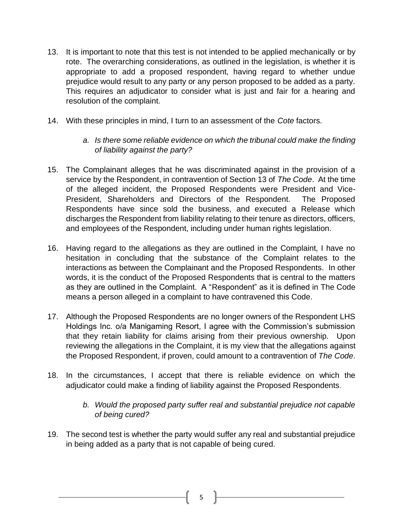- 13. It is important to note that this test is not intended to be applied mechanically or by rote. The overarching considerations, as outlined in the legislation, is whether it is appropriate to add a proposed respondent, having regard to whether undue prejudice would result to any party or any person proposed to be added as a party. This requires an adjudicator to consider what is just and fair for a hearing and resolution of the complaint.
- 14. With these principles in mind, I turn to an assessment of the *Cote* factors.
	- *a. Is there some reliable evidence on which the tribunal could make the finding of liability against the party?*
- 15. The Complainant alleges that he was discriminated against in the provision of a service by the Respondent, in contravention of Section 13 of *The Code*. At the time of the alleged incident, the Proposed Respondents were President and Vice-President, Shareholders and Directors of the Respondent. The Proposed Respondents have since sold the business, and executed a Release which discharges the Respondent from liability relating to their tenure as directors, officers, and employees of the Respondent, including under human rights legislation.
- 16. Having regard to the allegations as they are outlined in the Complaint, I have no hesitation in concluding that the substance of the Complaint relates to the interactions as between the Complainant and the Proposed Respondents. In other words, it is the conduct of the Proposed Respondents that is central to the matters as they are outlined in the Complaint. A "Respondent" as it is defined in The Code means a person alleged in a complaint to have contravened this Code.
- 17. Although the Proposed Respondents are no longer owners of the Respondent LHS Holdings Inc. o/a Manigaming Resort, I agree with the Commission's submission that they retain liability for claims arising from their previous ownership. Upon reviewing the allegations in the Complaint, it is my view that the allegations against the Proposed Respondent, if proven, could amount to a contravention of *The Code*.
- 18. In the circumstances, I accept that there is reliable evidence on which the adjudicator could make a finding of liability against the Proposed Respondents.
	- *b. Would the proposed party suffer real and substantial prejudice not capable of being cured?*
- 19. The second test is whether the party would suffer any real and substantial prejudice in being added as a party that is not capable of being cured.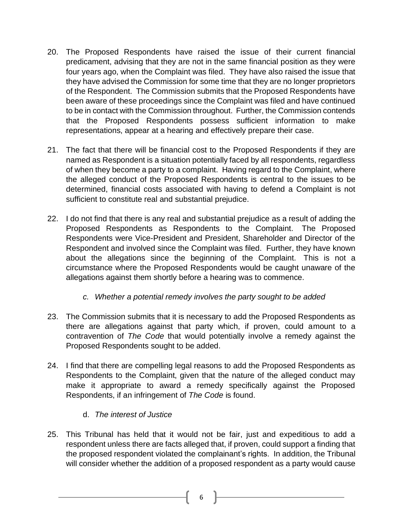- 20. The Proposed Respondents have raised the issue of their current financial predicament, advising that they are not in the same financial position as they were four years ago, when the Complaint was filed. They have also raised the issue that they have advised the Commission for some time that they are no longer proprietors of the Respondent. The Commission submits that the Proposed Respondents have been aware of these proceedings since the Complaint was filed and have continued to be in contact with the Commission throughout. Further, the Commission contends that the Proposed Respondents possess sufficient information to make representations, appear at a hearing and effectively prepare their case.
- 21. The fact that there will be financial cost to the Proposed Respondents if they are named as Respondent is a situation potentially faced by all respondents, regardless of when they become a party to a complaint. Having regard to the Complaint, where the alleged conduct of the Proposed Respondents is central to the issues to be determined, financial costs associated with having to defend a Complaint is not sufficient to constitute real and substantial prejudice.
- 22. I do not find that there is any real and substantial prejudice as a result of adding the Proposed Respondents as Respondents to the Complaint. The Proposed Respondents were Vice-President and President, Shareholder and Director of the Respondent and involved since the Complaint was filed. Further, they have known about the allegations since the beginning of the Complaint. This is not a circumstance where the Proposed Respondents would be caught unaware of the allegations against them shortly before a hearing was to commence.
	- *c. Whether a potential remedy involves the party sought to be added*
- 23. The Commission submits that it is necessary to add the Proposed Respondents as there are allegations against that party which, if proven, could amount to a contravention of *The Code* that would potentially involve a remedy against the Proposed Respondents sought to be added.
- 24. I find that there are compelling legal reasons to add the Proposed Respondents as Respondents to the Complaint, given that the nature of the alleged conduct may make it appropriate to award a remedy specifically against the Proposed Respondents, if an infringement of *The Code* is found.
	- d. *The interest of Justice*
- 25. This Tribunal has held that it would not be fair, just and expeditious to add a respondent unless there are facts alleged that, if proven, could support a finding that the proposed respondent violated the complainant's rights. In addition, the Tribunal will consider whether the addition of a proposed respondent as a party would cause